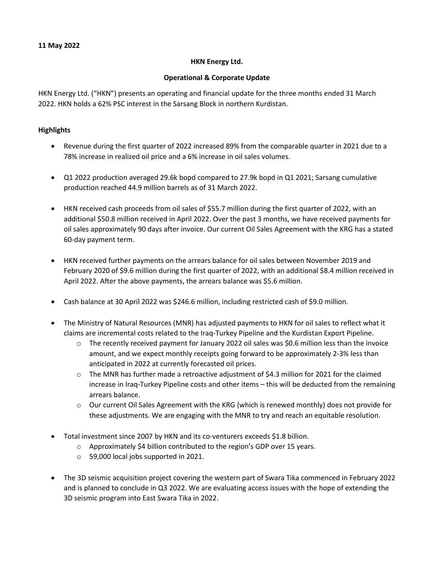### **HKN Energy Ltd.**

# **Operational & Corporate Update**

HKN Energy Ltd. ("HKN") presents an operating and financial update for the three months ended 31 March 2022. HKN holds a 62% PSC interest in the Sarsang Block in northern Kurdistan.

# **Highlights**

- Revenue during the first quarter of 2022 increased 89% from the comparable quarter in 2021 due to a 78% increase in realized oil price and a 6% increase in oil sales volumes.
- Q1 2022 production averaged 29.6k bopd compared to 27.9k bopd in Q1 2021; Sarsang cumulative production reached 44.9 million barrels as of 31 March 2022.
- HKN received cash proceeds from oil sales of \$55.7 million during the first quarter of 2022, with an additional \$50.8 million received in April 2022. Over the past 3 months, we have received payments for oil sales approximately 90 days after invoice. Our current Oil Sales Agreement with the KRG has a stated 60-day payment term.
- HKN received further payments on the arrears balance for oil sales between November 2019 and February 2020 of \$9.6 million during the first quarter of 2022, with an additional \$8.4 million received in April 2022. After the above payments, the arrears balance was \$5.6 million.
- Cash balance at 30 April 2022 was \$246.6 million, including restricted cash of \$9.0 million.
- The Ministry of Natural Resources (MNR) has adjusted payments to HKN for oil sales to reflect what it claims are incremental costs related to the Iraq-Turkey Pipeline and the Kurdistan Export Pipeline.
	- $\circ$  The recently received payment for January 2022 oil sales was \$0.6 million less than the invoice amount, and we expect monthly receipts going forward to be approximately 2-3% less than anticipated in 2022 at currently forecasted oil prices.
	- $\circ$  The MNR has further made a retroactive adjustment of \$4.3 million for 2021 for the claimed increase in Iraq-Turkey Pipeline costs and other items – this will be deducted from the remaining arrears balance.
	- $\circ$  Our current Oil Sales Agreement with the KRG (which is renewed monthly) does not provide for these adjustments. We are engaging with the MNR to try and reach an equitable resolution.
- Total investment since 2007 by HKN and its co-venturers exceeds \$1.8 billion.
	- o Approximately \$4 billion contributed to the region's GDP over 15 years.
	- o 59,000 local jobs supported in 2021.
- The 3D seismic acquisition project covering the western part of Swara Tika commenced in February 2022 and is planned to conclude in Q3 2022. We are evaluating access issues with the hope of extending the 3D seismic program into East Swara Tika in 2022.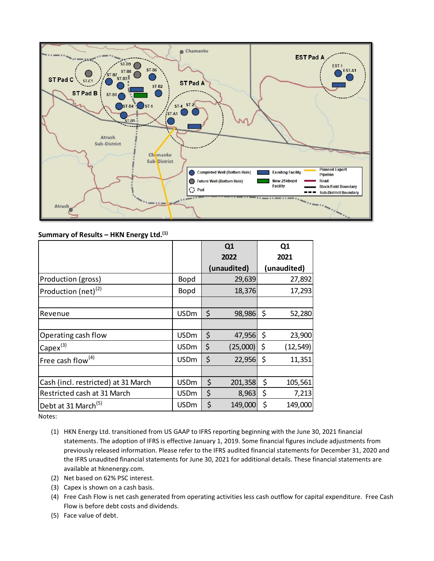

# **Summary of Results – HKN Energy Ltd. (1)**

|                                     |             | Q <sub>1</sub><br>2022 |             |      | Q <sub>1</sub> |
|-------------------------------------|-------------|------------------------|-------------|------|----------------|
|                                     |             |                        |             | 2021 |                |
|                                     |             |                        | (unaudited) |      | (unaudited)    |
| Production (gross)                  | <b>Bopd</b> |                        | 29,639      |      | 27,892         |
| Production (net) <sup>(2)</sup>     | <b>Bopd</b> |                        | 18,376      |      | 17,293         |
|                                     |             |                        |             |      |                |
| Revenue                             | <b>USDm</b> | \$                     | 98,986      | \$   | 52,280         |
|                                     |             |                        |             |      |                |
| Operating cash flow                 | <b>USDm</b> | \$                     | 47,956      | \$   | 23,900         |
| $Capex^{(3)}$                       | <b>USDm</b> | \$                     | (25,000)    | \$   | (12, 549)      |
| Free cash flow <sup>(4)</sup>       | <b>USDm</b> | \$                     | 22,956      | \$   | 11,351         |
|                                     |             |                        |             |      |                |
| Cash (incl. restricted) at 31 March | <b>USDm</b> | \$                     | 201,358     | \$   | 105,561        |
| Restricted cash at 31 March         | <b>USDm</b> | \$                     | 8,963       | \$   | 7,213          |
| Debt at 31 March <sup>(5)</sup>     | <b>USDm</b> | \$                     | 149,000     | \$   | 149,000        |

Notes:

- (1) HKN Energy Ltd. transitioned from US GAAP to IFRS reporting beginning with the June 30, 2021 financial statements. The adoption of IFRS is effective January 1, 2019. Some financial figures include adjustments from previously released information. Please refer to the IFRS audited financial statements for December 31, 2020 and the IFRS unaudited financial statements for June 30, 2021 for additional details. These financial statements are available at hknenergy.com.
- (2) Net based on 62% PSC interest.
- (3) Capex is shown on a cash basis.
- (4) Free Cash Flow is net cash generated from operating activities less cash outflow for capital expenditure. Free Cash Flow is before debt costs and dividends.
- (5) Face value of debt.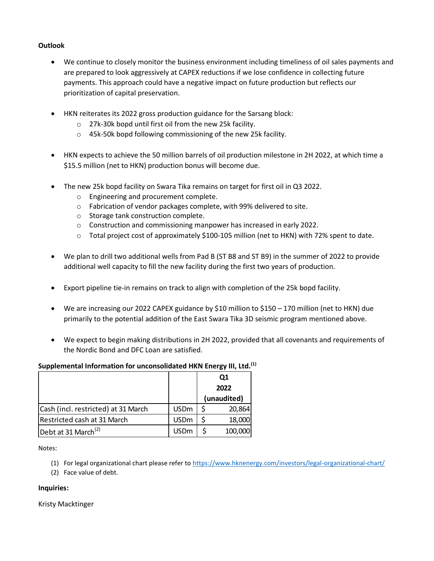# **Outlook**

- We continue to closely monitor the business environment including timeliness of oil sales payments and are prepared to look aggressively at CAPEX reductions if we lose confidence in collecting future payments. This approach could have a negative impact on future production but reflects our prioritization of capital preservation.
- HKN reiterates its 2022 gross production guidance for the Sarsang block:
	- o 27k-30k bopd until first oil from the new 25k facility.
	- o 45k-50k bopd following commissioning of the new 25k facility.
- HKN expects to achieve the 50 million barrels of oil production milestone in 2H 2022, at which time a \$15.5 million (net to HKN) production bonus will become due.
- The new 25k bopd facility on Swara Tika remains on target for first oil in Q3 2022.
	- o Engineering and procurement complete.
	- o Fabrication of vendor packages complete, with 99% delivered to site.
	- o Storage tank construction complete.
	- o Construction and commissioning manpower has increased in early 2022.
	- o Total project cost of approximately \$100-105 million (net to HKN) with 72% spent to date.
- We plan to drill two additional wells from Pad B (ST B8 and ST B9) in the summer of 2022 to provide additional well capacity to fill the new facility during the first two years of production.
- Export pipeline tie-in remains on track to align with completion of the 25k bopd facility.
- We are increasing our 2022 CAPEX guidance by \$10 million to \$150 170 million (net to HKN) due primarily to the potential addition of the East Swara Tika 3D seismic program mentioned above.
- We expect to begin making distributions in 2H 2022, provided that all covenants and requirements of the Nordic Bond and DFC Loan are satisfied.

### **Supplemental Information for unconsolidated HKN Energy III, Ltd.(1)**

|                                     |             | Q1          |         |
|-------------------------------------|-------------|-------------|---------|
|                                     |             | 2022        |         |
|                                     |             | (unaudited) |         |
| Cash (incl. restricted) at 31 March | <b>USDm</b> |             | 20,864  |
| Restricted cash at 31 March         | <b>USDm</b> |             | 18,000  |
| Debt at 31 March <sup>(2)</sup>     | <b>USDm</b> |             | 100,000 |

Notes:

- (1) For legal organizational chart please refer to <https://www.hknenergy.com/investors/legal-organizational-chart/>
- (2) Face value of debt.

#### **Inquiries:**

Kristy Macktinger